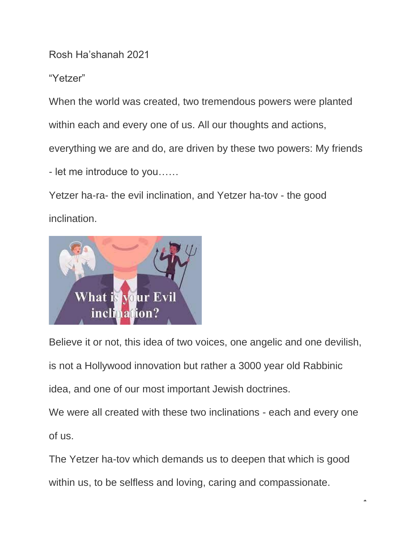Rosh Ha'shanah 2021

"Yetzer"

When the world was created, two tremendous powers were planted

within each and every one of us. All our thoughts and actions,

everything we are and do, are driven by these two powers: My friends

- let me introduce to you……

Yetzer ha-ra- the evil inclination, and Yetzer ha-tov - the good inclination.



Believe it or not, this idea of two voices, one angelic and one devilish,

is not a Hollywood innovation but rather a 3000 year old Rabbinic

idea, and one of our most important Jewish doctrines.

We were all created with these two inclinations - each and every one of us.

The Yetzer ha-tov which demands us to deepen that which is good within us, to be selfless and loving, caring and compassionate.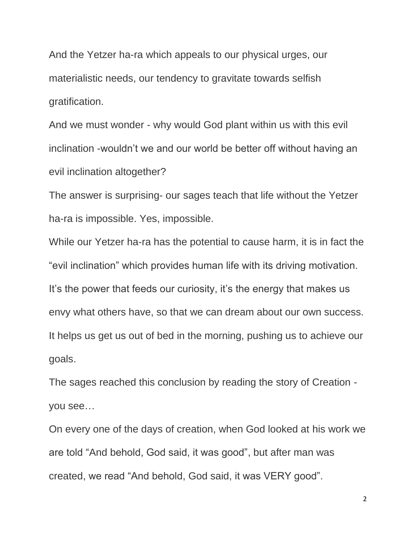And the Yetzer ha-ra which appeals to our physical urges, our materialistic needs, our tendency to gravitate towards selfish gratification.

And we must wonder - why would God plant within us with this evil inclination -wouldn't we and our world be better off without having an evil inclination altogether?

The answer is surprising- our sages teach that life without the Yetzer ha-ra is impossible. Yes, impossible.

While our Yetzer ha-ra has the potential to cause harm, it is in fact the "evil inclination" which provides human life with its driving motivation. It's the power that feeds our curiosity, it's the energy that makes us envy what others have, so that we can dream about our own success. It helps us get us out of bed in the morning, pushing us to achieve our goals.

The sages reached this conclusion by reading the story of Creation you see…

On every one of the days of creation, when God looked at his work we are told "And behold, God said, it was good", but after man was created, we read "And behold, God said, it was VERY good".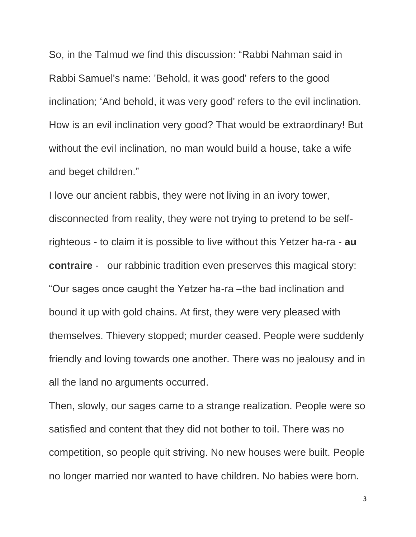So, in the Talmud we find this discussion: "Rabbi Nahman said in Rabbi Samuel's name: 'Behold, it was good' refers to the good inclination; 'And behold, it was very good' refers to the evil inclination. How is an evil inclination very good? That would be extraordinary! But without the evil inclination, no man would build a house, take a wife and beget children."

I love our ancient rabbis, they were not living in an ivory tower, disconnected from reality, they were not trying to pretend to be selfrighteous - to claim it is possible to live without this Yetzer ha-ra - **au contraire** - our rabbinic tradition even preserves this magical story: "Our sages once caught the Yetzer ha-ra –the bad inclination and bound it up with gold chains. At first, they were very pleased with themselves. Thievery stopped; murder ceased. People were suddenly friendly and loving towards one another. There was no jealousy and in all the land no arguments occurred.

Then, slowly, our sages came to a strange realization. People were so satisfied and content that they did not bother to toil. There was no competition, so people quit striving. No new houses were built. People no longer married nor wanted to have children. No babies were born.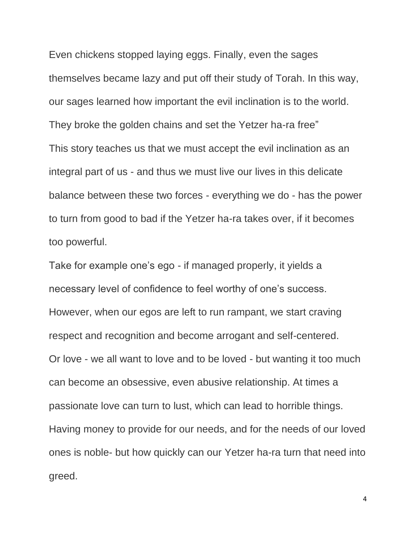Even chickens stopped laying eggs. Finally, even the sages themselves became lazy and put off their study of Torah. In this way, our sages learned how important the evil inclination is to the world. They broke the golden chains and set the Yetzer ha-ra free" This story teaches us that we must accept the evil inclination as an integral part of us - and thus we must live our lives in this delicate balance between these two forces - everything we do - has the power to turn from good to bad if the Yetzer ha-ra takes over, if it becomes too powerful.

Take for example one's ego - if managed properly, it yields a necessary level of confidence to feel worthy of one's success. However, when our egos are left to run rampant, we start craving respect and recognition and become arrogant and self-centered. Or love - we all want to love and to be loved - but wanting it too much can become an obsessive, even abusive relationship. At times a passionate love can turn to lust, which can lead to horrible things. Having money to provide for our needs, and for the needs of our loved ones is noble- but how quickly can our Yetzer ha-ra turn that need into greed.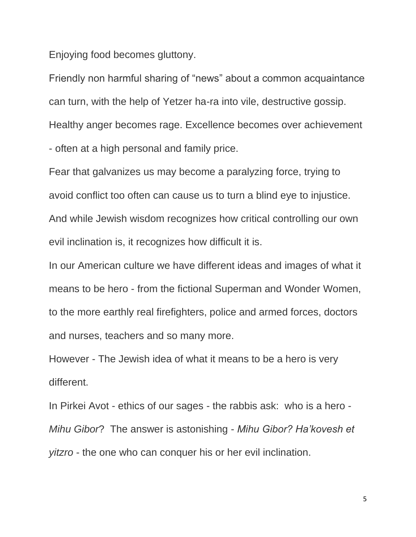Enjoying food becomes gluttony.

Friendly non harmful sharing of "news" about a common acquaintance can turn, with the help of Yetzer ha-ra into vile, destructive gossip. Healthy anger becomes rage. Excellence becomes over achievement - often at a high personal and family price.

Fear that galvanizes us may become a paralyzing force, trying to avoid conflict too often can cause us to turn a blind eye to injustice. And while Jewish wisdom recognizes how critical controlling our own evil inclination is, it recognizes how difficult it is.

In our American culture we have different ideas and images of what it means to be hero - from the fictional Superman and Wonder Women, to the more earthly real firefighters, police and armed forces, doctors and nurses, teachers and so many more.

However - The Jewish idea of what it means to be a hero is very different.

In Pirkei Avot - ethics of our sages - the rabbis ask: who is a hero - *Mihu Gibor*? The answer is astonishing - *Mihu Gibor? Ha'kovesh et yitzro* - the one who can conquer his or her evil inclination.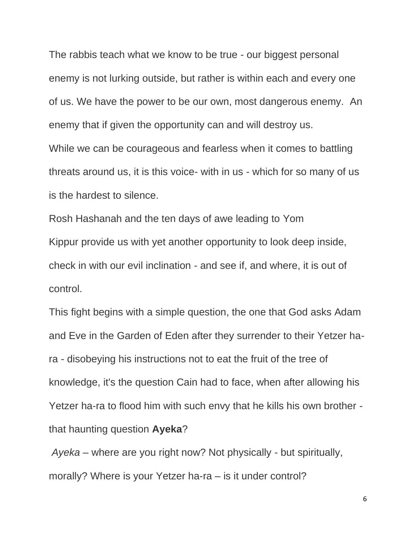The rabbis teach what we know to be true - our biggest personal enemy is not lurking outside, but rather is within each and every one of us. We have the power to be our own, most dangerous enemy. An enemy that if given the opportunity can and will destroy us. While we can be courageous and fearless when it comes to battling threats around us, it is this voice- with in us - which for so many of us is the hardest to silence.

Rosh Hashanah and the ten days of awe leading to Yom Kippur provide us with yet another opportunity to look deep inside, check in with our evil inclination - and see if, and where, it is out of control.

This fight begins with a simple question, the one that God asks Adam and Eve in the Garden of Eden after they surrender to their Yetzer hara - disobeying his instructions not to eat the fruit of the tree of knowledge, it's the question Cain had to face, when after allowing his Yetzer ha-ra to flood him with such envy that he kills his own brother that haunting question **Ayeka**?

*Ayeka* – where are you right now? Not physically - but spiritually, morally? Where is your Yetzer ha-ra – is it under control?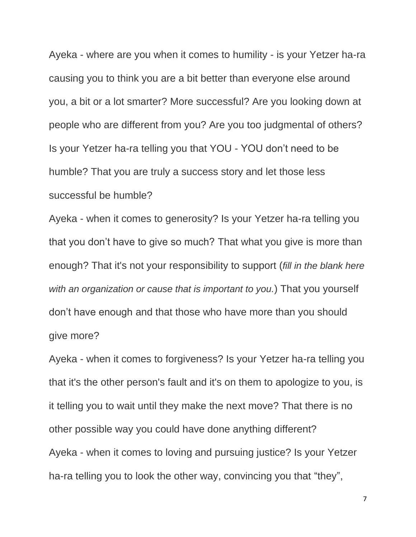Ayeka - where are you when it comes to humility - is your Yetzer ha-ra causing you to think you are a bit better than everyone else around you, a bit or a lot smarter? More successful? Are you looking down at people who are different from you? Are you too judgmental of others? Is your Yetzer ha-ra telling you that YOU - YOU don't need to be humble? That you are truly a success story and let those less successful be humble?

Ayeka - when it comes to generosity? Is your Yetzer ha-ra telling you that you don't have to give so much? That what you give is more than enough? That it's not your responsibility to support (*fill in the blank here with an organization or cause that is important to you.*) That you yourself don't have enough and that those who have more than you should give more?

Ayeka - when it comes to forgiveness? Is your Yetzer ha-ra telling you that it's the other person's fault and it's on them to apologize to you, is it telling you to wait until they make the next move? That there is no other possible way you could have done anything different? Ayeka - when it comes to loving and pursuing justice? Is your Yetzer ha-ra telling you to look the other way, convincing you that "they",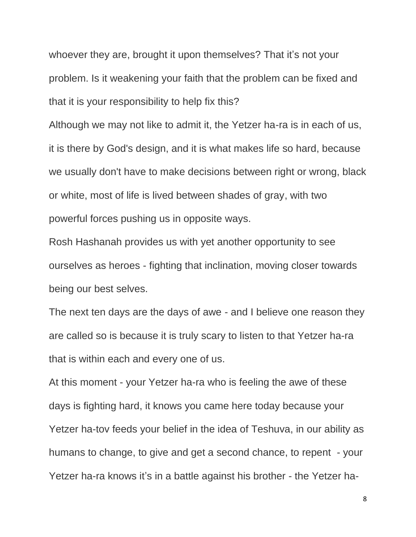whoever they are, brought it upon themselves? That it's not your problem. Is it weakening your faith that the problem can be fixed and that it is your responsibility to help fix this?

Although we may not like to admit it, the Yetzer ha-ra is in each of us, it is there by God's design, and it is what makes life so hard, because we usually don't have to make decisions between right or wrong, black or white, most of life is lived between shades of gray, with two powerful forces pushing us in opposite ways.

Rosh Hashanah provides us with yet another opportunity to see ourselves as heroes - fighting that inclination, moving closer towards being our best selves.

The next ten days are the days of awe - and I believe one reason they are called so is because it is truly scary to listen to that Yetzer ha-ra that is within each and every one of us.

At this moment - your Yetzer ha-ra who is feeling the awe of these days is fighting hard, it knows you came here today because your Yetzer ha-tov feeds your belief in the idea of Teshuva, in our ability as humans to change, to give and get a second chance, to repent - your Yetzer ha-ra knows it's in a battle against his brother - the Yetzer ha-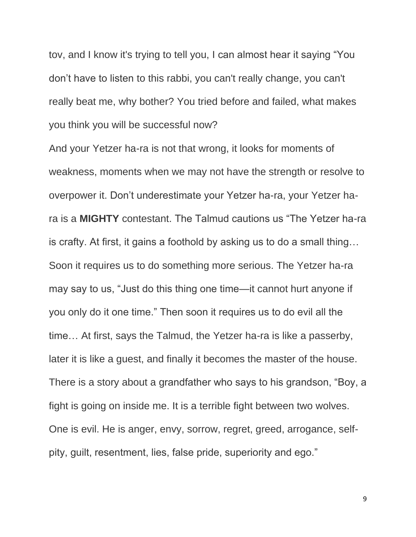tov, and I know it's trying to tell you, I can almost hear it saying "You don't have to listen to this rabbi, you can't really change, you can't really beat me, why bother? You tried before and failed, what makes you think you will be successful now?

And your Yetzer ha-ra is not that wrong, it looks for moments of weakness, moments when we may not have the strength or resolve to overpower it. Don't underestimate your Yetzer ha-ra, your Yetzer hara is a **MIGHTY** contestant. The Talmud cautions us "The Yetzer ha-ra is crafty. At first, it gains a foothold by asking us to do a small thing… Soon it requires us to do something more serious. The Yetzer ha-ra may say to us, "Just do this thing one time—it cannot hurt anyone if you only do it one time." Then soon it requires us to do evil all the time… At first, says the Talmud, the Yetzer ha-ra is like a passerby, later it is like a guest, and finally it becomes the master of the house. There is a story about a grandfather who says to his grandson, "Boy, a fight is going on inside me. It is a terrible fight between two wolves. One is evil. He is anger, envy, sorrow, regret, greed, arrogance, selfpity, guilt, resentment, lies, false pride, superiority and ego."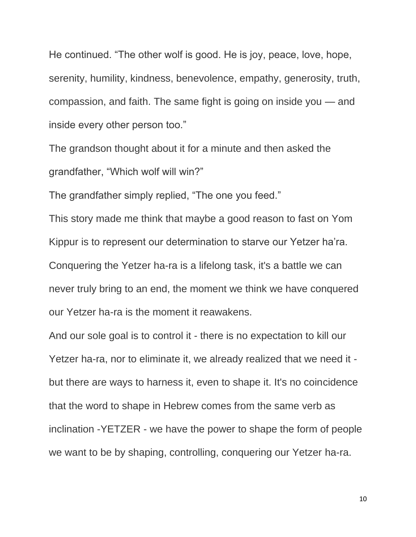He continued. "The other wolf is good. He is joy, peace, love, hope, serenity, humility, kindness, benevolence, empathy, generosity, truth, compassion, and faith. The same fight is going on inside you — and inside every other person too."

The grandson thought about it for a minute and then asked the grandfather, "Which wolf will win?"

The grandfather simply replied, "The one you feed."

This story made me think that maybe a good reason to fast on Yom Kippur is to represent our determination to starve our Yetzer ha'ra. Conquering the Yetzer ha-ra is a lifelong task, it's a battle we can never truly bring to an end, the moment we think we have conquered our Yetzer ha-ra is the moment it reawakens.

And our sole goal is to control it - there is no expectation to kill our Yetzer ha-ra, nor to eliminate it, we already realized that we need it but there are ways to harness it, even to shape it. It's no coincidence that the word to shape in Hebrew comes from the same verb as inclination -YETZER - we have the power to shape the form of people we want to be by shaping, controlling, conquering our Yetzer ha-ra.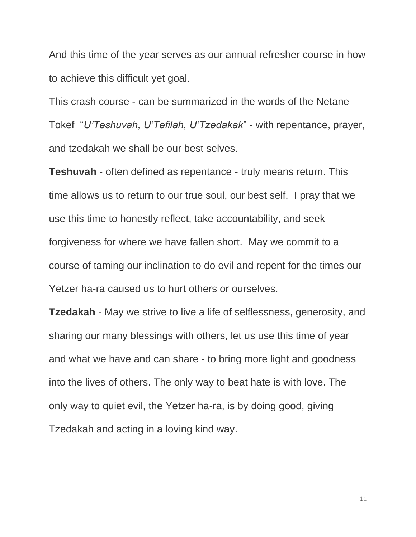And this time of the year serves as our annual refresher course in how to achieve this difficult yet goal.

This crash course - can be summarized in the words of the Netane Tokef "*U'Teshuvah, U'Tefilah, U'Tzedakak*" - with repentance, prayer, and tzedakah we shall be our best selves.

**Teshuvah** - often defined as repentance - truly means return. This time allows us to return to our true soul, our best self. I pray that we use this time to honestly reflect, take accountability, and seek forgiveness for where we have fallen short. May we commit to a course of taming our inclination to do evil and repent for the times our Yetzer ha-ra caused us to hurt others or ourselves.

**Tzedakah** - May we strive to live a life of selflessness, generosity, and sharing our many blessings with others, let us use this time of year and what we have and can share - to bring more light and goodness into the lives of others. The only way to beat hate is with love. The only way to quiet evil, the Yetzer ha-ra, is by doing good, giving Tzedakah and acting in a loving kind way.